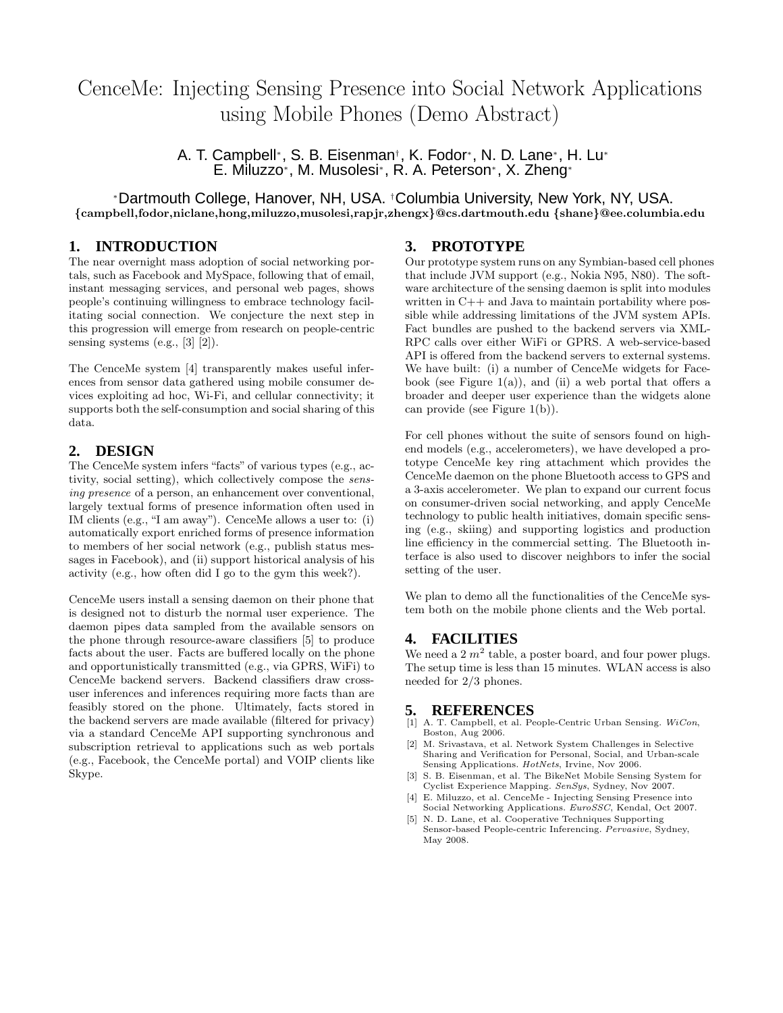# CenceMe: Injecting Sensing Presence into Social Network Applications using Mobile Phones (Demo Abstract)

A. T. Campbell\*, S. B. Eisenman<sup>†</sup>, K. Fodor\*, N. D. Lane\*, H. Lu\* E. Miluzzo<sup>∗</sup> , M. Musolesi<sup>∗</sup> , R. A. Peterson<sup>∗</sup> , X. Zheng<sup>∗</sup>

<sup>∗</sup>Dartmouth College, Hanover, NH, USA. †Columbia University, New York, NY, USA. {campbell,fodor,niclane,hong,miluzzo,musolesi,rapjr,zhengx}@cs.dartmouth.edu {shane}@ee.columbia.edu

### **1. INTRODUCTION**

The near overnight mass adoption of social networking portals, such as Facebook and MySpace, following that of email, instant messaging services, and personal web pages, shows people's continuing willingness to embrace technology facilitating social connection. We conjecture the next step in this progression will emerge from research on people-centric sensing systems (e.g.,  $[3]$   $[2]$ ).

The CenceMe system [4] transparently makes useful inferences from sensor data gathered using mobile consumer devices exploiting ad hoc, Wi-Fi, and cellular connectivity; it supports both the self-consumption and social sharing of this data.

## **2. DESIGN**

The CenceMe system infers "facts" of various types (e.g., activity, social setting), which collectively compose the sensing presence of a person, an enhancement over conventional, largely textual forms of presence information often used in IM clients (e.g., "I am away"). CenceMe allows a user to: (i) automatically export enriched forms of presence information to members of her social network (e.g., publish status messages in Facebook), and (ii) support historical analysis of his activity (e.g., how often did I go to the gym this week?).

CenceMe users install a sensing daemon on their phone that is designed not to disturb the normal user experience. The daemon pipes data sampled from the available sensors on the phone through resource-aware classifiers [5] to produce facts about the user. Facts are buffered locally on the phone and opportunistically transmitted (e.g., via GPRS, WiFi) to CenceMe backend servers. Backend classifiers draw crossuser inferences and inferences requiring more facts than are feasibly stored on the phone. Ultimately, facts stored in the backend servers are made available (filtered for privacy) via a standard CenceMe API supporting synchronous and subscription retrieval to applications such as web portals (e.g., Facebook, the CenceMe portal) and VOIP clients like Skype.

#### **3. PROTOTYPE**

Our prototype system runs on any Symbian-based cell phones that include JVM support (e.g., Nokia N95, N80). The software architecture of the sensing daemon is split into modules written in C++ and Java to maintain portability where possible while addressing limitations of the JVM system APIs. Fact bundles are pushed to the backend servers via XML-RPC calls over either WiFi or GPRS. A web-service-based API is offered from the backend servers to external systems. We have built: (i) a number of CenceMe widgets for Facebook (see Figure  $1(a)$ ), and (ii) a web portal that offers a broader and deeper user experience than the widgets alone can provide (see Figure 1(b)).

For cell phones without the suite of sensors found on highend models (e.g., accelerometers), we have developed a prototype CenceMe key ring attachment which provides the CenceMe daemon on the phone Bluetooth access to GPS and a 3-axis accelerometer. We plan to expand our current focus on consumer-driven social networking, and apply CenceMe technology to public health initiatives, domain specific sensing (e.g., skiing) and supporting logistics and production line efficiency in the commercial setting. The Bluetooth interface is also used to discover neighbors to infer the social setting of the user.

We plan to demo all the functionalities of the CenceMe system both on the mobile phone clients and the Web portal.

### **4. FACILITIES**

We need a  $2 m<sup>2</sup>$  table, a poster board, and four power plugs. The setup time is less than 15 minutes. WLAN access is also needed for 2/3 phones.

#### **5. REFERENCES**

- A. T. Campbell, et al. People-Centric Urban Sensing. WiCon, Boston, Aug 2006.
- [2] M. Srivastava, et al. Network System Challenges in Selective Sharing and Verification for Personal, Social, and Urban-scale Sensing Applications. HotNets, Irvine, Nov 2006.
- [3] S. B. Eisenman, et al. The BikeNet Mobile Sensing System for Cyclist Experience Mapping. SenSys, Sydney, Nov 2007.
- [4] E. Miluzzo, et al. CenceMe Injecting Sensing Presence into Social Networking Applications. EuroSSC, Kendal, Oct 2007.
- [5] N. D. Lane, et al. Cooperative Techniques Supporting Sensor-based People-centric Inferencing. Pervasive, Sydney, May 2008.